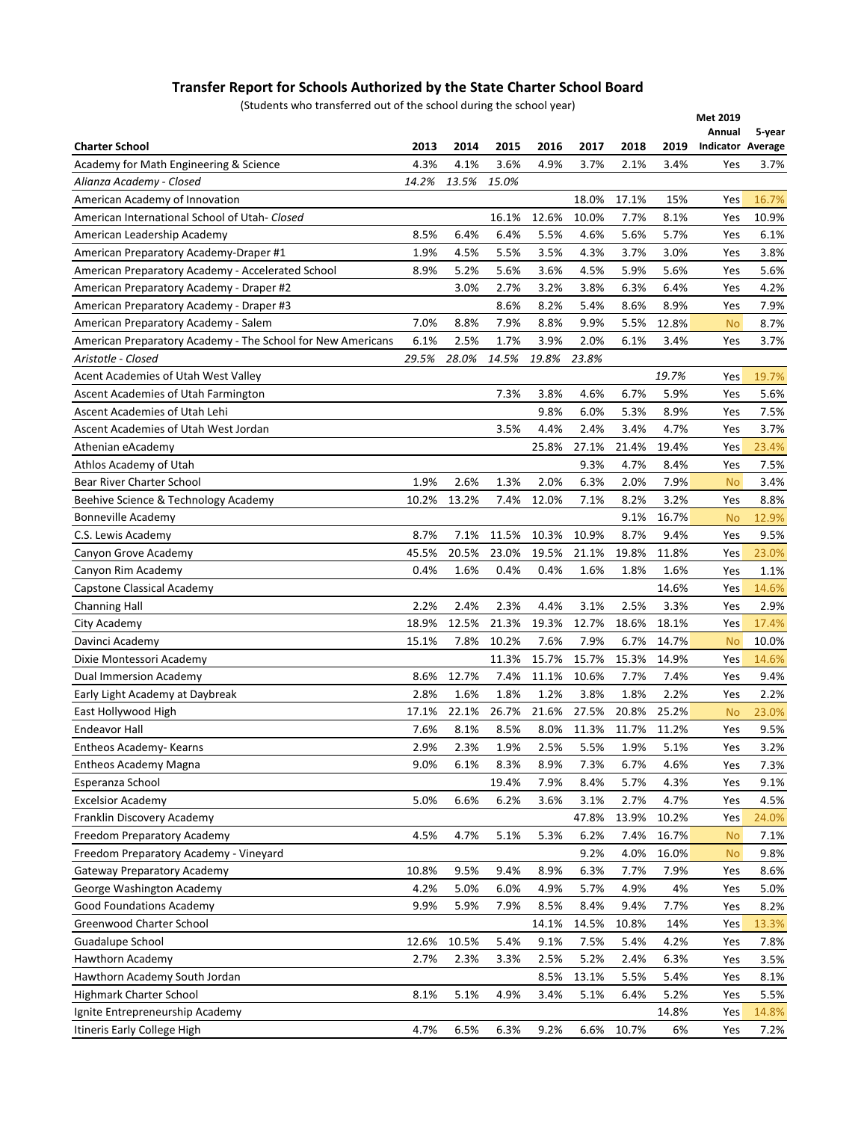## **Transfer Report for Schools Authorized by the State Charter School Board**

(Students who transferred out of the school during the school year)

| Annual<br>5-year<br><b>Charter School</b><br>2013<br>2014<br>2015<br>2016<br>2017<br>2018<br>2019<br><b>Indicator Average</b><br>3.6%<br>4.9%<br>3.7%<br>Academy for Math Engineering & Science<br>4.3%<br>4.1%<br>2.1%<br>3.4%<br>Yes<br>3.7%<br>14.2%<br>13.5%<br>15.0%<br>Alianza Academy - Closed<br>18.0%<br>15%<br>American Academy of Innovation<br>17.1%<br>16.7%<br>Yes<br>12.6%<br>10.0%<br>7.7%<br>American International School of Utah-Closed<br>16.1%<br>8.1%<br>Yes<br>10.9%<br>6.4%<br>6.4%<br>5.5%<br>4.6%<br>8.5%<br>5.6%<br>5.7%<br>American Leadership Academy<br>Yes<br>6.1%<br>4.5%<br>5.5%<br>3.5%<br>4.3%<br>1.9%<br>3.7%<br>3.0%<br>3.8%<br>American Preparatory Academy-Draper #1<br>Yes<br>5.2%<br>4.5%<br>American Preparatory Academy - Accelerated School<br>8.9%<br>5.6%<br>3.6%<br>5.9%<br>5.6%<br>5.6%<br>Yes<br>3.0%<br>American Preparatory Academy - Draper #2<br>2.7%<br>3.2%<br>3.8%<br>6.3%<br>6.4%<br>4.2%<br>Yes<br>8.6%<br>8.9%<br>American Preparatory Academy - Draper #3<br>8.2%<br>5.4%<br>8.6%<br>7.9%<br>Yes<br>7.9%<br>8.8%<br>9.9%<br>12.8%<br>8.7%<br>American Preparatory Academy - Salem<br>7.0%<br>8.8%<br>5.5%<br><b>No</b><br>6.1%<br>2.5%<br>1.7%<br>3.9%<br>2.0%<br>3.4%<br>6.1%<br>3.7%<br>American Preparatory Academy - The School for New Americans<br>Yes<br>29.5%<br>28.0%<br>14.5%<br>19.8%<br>23.8%<br>Aristotle - Closed<br>Acent Academies of Utah West Valley<br>19.7%<br>19.7%<br>Yes<br>7.3%<br>3.8%<br>4.6%<br>6.7%<br>5.9%<br>5.6%<br>Ascent Academies of Utah Farmington<br>Yes<br>9.8%<br>6.0%<br>8.9%<br>Ascent Academies of Utah Lehi<br>5.3%<br>7.5%<br>Yes<br>3.5%<br>2.4%<br>4.7%<br>Ascent Academies of Utah West Jordan<br>4.4%<br>3.4%<br>Yes<br>3.7%<br>27.1%<br>25.8%<br>21.4%<br>19.4%<br>23.4%<br>Athenian eAcademy<br>Yes<br>9.3%<br>4.7%<br>8.4%<br>Athlos Academy of Utah<br>7.5%<br>Yes<br>6.3%<br>Bear River Charter School<br>1.9%<br>2.6%<br>1.3%<br>2.0%<br>2.0%<br>7.9%<br>3.4%<br><b>No</b><br>13.2%<br>Beehive Science & Technology Academy<br>10.2%<br>7.4%<br>12.0%<br>7.1%<br>8.2%<br>3.2%<br>8.8%<br>Yes<br>16.7%<br><b>Bonneville Academy</b><br>9.1%<br>12.9%<br><b>No</b><br>8.7%<br>10.3%<br>10.9%<br>8.7%<br>9.4%<br>C.S. Lewis Academy<br>7.1%<br>11.5%<br>9.5%<br>Yes<br>45.5%<br>20.5%<br>23.0%<br>19.5%<br>21.1%<br>11.8%<br>Canyon Grove Academy<br>19.8%<br>23.0%<br>Yes<br>0.4%<br>1.6%<br>0.4%<br>0.4%<br>1.6%<br>1.8%<br>1.6%<br>1.1%<br>Canyon Rim Academy<br>Yes<br>14.6%<br>Capstone Classical Academy<br>14.6%<br>Yes<br>2.2%<br>2.3%<br>4.4%<br>3.1%<br>2.5%<br>3.3%<br>2.4%<br>2.9%<br><b>Channing Hall</b><br>Yes<br>18.9%<br>12.5%<br>21.3%<br>19.3%<br>12.7%<br>18.1%<br>18.6%<br>17.4%<br>City Academy<br>Yes<br>7.9%<br>15.1%<br>7.8%<br>10.2%<br>7.6%<br>6.7%<br>14.7%<br>Davinci Academy<br><b>No</b><br>10.0%<br>15.7%<br>15.7%<br>15.3%<br>14.9%<br>Dixie Montessori Academy<br>11.3%<br>14.6%<br>Yes<br>12.7%<br>7.4%<br>11.1%<br>10.6%<br>7.7%<br>7.4%<br>Dual Immersion Academy<br>8.6%<br>Yes<br>9.4%<br>1.6%<br>1.8%<br>1.2%<br>3.8%<br>2.2%<br>Early Light Academy at Daybreak<br>2.8%<br>1.8%<br>2.2%<br>Yes<br>26.7%<br>21.6%<br>27.5%<br>East Hollywood High<br>17.1%<br>22.1%<br>20.8%<br>25.2%<br>23.0%<br><b>No</b><br>8.1%<br>8.0%<br>9.5%<br><b>Endeavor Hall</b><br>7.6%<br>8.5%<br>11.3%<br>11.7%<br>11.2%<br>Yes<br>Entheos Academy- Kearns<br>2.9%<br>2.3%<br>2.5%<br>5.5%<br>5.1%<br>3.2%<br>1.9%<br>1.9%<br>Yes<br>7.3%<br><b>Entheos Academy Magna</b><br>9.0%<br>6.1%<br>8.3%<br>8.9%<br>6.7%<br>4.6%<br>7.3%<br>Yes<br>19.4%<br>7.9%<br>8.4%<br>5.7%<br>4.3%<br>9.1%<br>Esperanza School<br>Yes<br>5.0%<br>6.6%<br>6.2%<br>3.6%<br>3.1%<br>4.7%<br><b>Excelsior Academy</b><br>2.7%<br>4.5%<br>Yes<br>10.2%<br>Franklin Discovery Academy<br>47.8%<br>13.9%<br>24.0%<br>Yes<br>4.5%<br>4.7%<br>5.1%<br>6.2%<br>Freedom Preparatory Academy<br>5.3%<br>7.4%<br>16.7%<br>7.1%<br><b>No</b><br>9.2%<br>16.0%<br>Freedom Preparatory Academy - Vineyard<br>4.0%<br><b>No</b><br>9.8%<br>9.5%<br>6.3%<br>7.7%<br>Gateway Preparatory Academy<br>10.8%<br>9.4%<br>8.9%<br>7.9%<br>Yes<br>8.6%<br>4.2%<br>5.0%<br>6.0%<br>5.7%<br>4.9%<br>4%<br>George Washington Academy<br>4.9%<br>5.0%<br>Yes<br>5.9%<br>8.5%<br>7.7%<br>Good Foundations Academy<br>9.9%<br>7.9%<br>8.4%<br>9.4%<br>8.2%<br>Yes<br><b>Greenwood Charter School</b><br>14.5%<br>14.1%<br>10.8%<br>14%<br>13.3%<br>Yes<br>Guadalupe School<br>12.6%<br>10.5%<br>5.4%<br>9.1%<br>7.5%<br>5.4%<br>4.2%<br>7.8%<br>Yes<br>Hawthorn Academy<br>2.7%<br>2.3%<br>2.5%<br>5.2%<br>6.3%<br>3.5%<br>3.3%<br>2.4%<br>Yes<br>Hawthorn Academy South Jordan<br>8.5%<br>13.1%<br>5.5%<br>5.4%<br>8.1%<br>Yes<br>Highmark Charter School<br>8.1%<br>5.1%<br>3.4%<br>5.5%<br>4.9%<br>5.1%<br>6.4%<br>5.2%<br>Yes<br>Ignite Entrepreneurship Academy<br>14.8%<br>14.8%<br>Yes<br>Itineris Early College High<br>4.7%<br>6.5%<br>6.3%<br>9.2%<br>6.6%<br>10.7%<br>6%<br>7.2%<br>Yes | (Students who transiened out or the school during the school year) |  |  |  |  |  |  | Met 2019 |  |
|-----------------------------------------------------------------------------------------------------------------------------------------------------------------------------------------------------------------------------------------------------------------------------------------------------------------------------------------------------------------------------------------------------------------------------------------------------------------------------------------------------------------------------------------------------------------------------------------------------------------------------------------------------------------------------------------------------------------------------------------------------------------------------------------------------------------------------------------------------------------------------------------------------------------------------------------------------------------------------------------------------------------------------------------------------------------------------------------------------------------------------------------------------------------------------------------------------------------------------------------------------------------------------------------------------------------------------------------------------------------------------------------------------------------------------------------------------------------------------------------------------------------------------------------------------------------------------------------------------------------------------------------------------------------------------------------------------------------------------------------------------------------------------------------------------------------------------------------------------------------------------------------------------------------------------------------------------------------------------------------------------------------------------------------------------------------------------------------------------------------------------------------------------------------------------------------------------------------------------------------------------------------------------------------------------------------------------------------------------------------------------------------------------------------------------------------------------------------------------------------------------------------------------------------------------------------------------------------------------------------------------------------------------------------------------------------------------------------------------------------------------------------------------------------------------------------------------------------------------------------------------------------------------------------------------------------------------------------------------------------------------------------------------------------------------------------------------------------------------------------------------------------------------------------------------------------------------------------------------------------------------------------------------------------------------------------------------------------------------------------------------------------------------------------------------------------------------------------------------------------------------------------------------------------------------------------------------------------------------------------------------------------------------------------------------------------------------------------------------------------------------------------------------------------------------------------------------------------------------------------------------------------------------------------------------------------------------------------------------------------------------------------------------------------------------------------------------------------------------------------------------------------------------------------------------------------------------------------------------------------------------------------------------------------------------------------------------------------------------------------------------------------------------------------------------------------------------------------------------------------------------------------------------------------------------------------------------------------------------------------------------------------------------------------------------------------------------------------------------------------------------------------------------------------------------------------------------------------------------------------------------------------------------------------------------------------------------------------------------------------|--------------------------------------------------------------------|--|--|--|--|--|--|----------|--|
|                                                                                                                                                                                                                                                                                                                                                                                                                                                                                                                                                                                                                                                                                                                                                                                                                                                                                                                                                                                                                                                                                                                                                                                                                                                                                                                                                                                                                                                                                                                                                                                                                                                                                                                                                                                                                                                                                                                                                                                                                                                                                                                                                                                                                                                                                                                                                                                                                                                                                                                                                                                                                                                                                                                                                                                                                                                                                                                                                                                                                                                                                                                                                                                                                                                                                                                                                                                                                                                                                                                                                                                                                                                                                                                                                                                                                                                                                                                                                                                                                                                                                                                                                                                                                                                                                                                                                                                                                                                                                                                                                                                                                                                                                                                                                                                                                                                                                                                                                                                         |                                                                    |  |  |  |  |  |  |          |  |
|                                                                                                                                                                                                                                                                                                                                                                                                                                                                                                                                                                                                                                                                                                                                                                                                                                                                                                                                                                                                                                                                                                                                                                                                                                                                                                                                                                                                                                                                                                                                                                                                                                                                                                                                                                                                                                                                                                                                                                                                                                                                                                                                                                                                                                                                                                                                                                                                                                                                                                                                                                                                                                                                                                                                                                                                                                                                                                                                                                                                                                                                                                                                                                                                                                                                                                                                                                                                                                                                                                                                                                                                                                                                                                                                                                                                                                                                                                                                                                                                                                                                                                                                                                                                                                                                                                                                                                                                                                                                                                                                                                                                                                                                                                                                                                                                                                                                                                                                                                                         |                                                                    |  |  |  |  |  |  |          |  |
|                                                                                                                                                                                                                                                                                                                                                                                                                                                                                                                                                                                                                                                                                                                                                                                                                                                                                                                                                                                                                                                                                                                                                                                                                                                                                                                                                                                                                                                                                                                                                                                                                                                                                                                                                                                                                                                                                                                                                                                                                                                                                                                                                                                                                                                                                                                                                                                                                                                                                                                                                                                                                                                                                                                                                                                                                                                                                                                                                                                                                                                                                                                                                                                                                                                                                                                                                                                                                                                                                                                                                                                                                                                                                                                                                                                                                                                                                                                                                                                                                                                                                                                                                                                                                                                                                                                                                                                                                                                                                                                                                                                                                                                                                                                                                                                                                                                                                                                                                                                         |                                                                    |  |  |  |  |  |  |          |  |
|                                                                                                                                                                                                                                                                                                                                                                                                                                                                                                                                                                                                                                                                                                                                                                                                                                                                                                                                                                                                                                                                                                                                                                                                                                                                                                                                                                                                                                                                                                                                                                                                                                                                                                                                                                                                                                                                                                                                                                                                                                                                                                                                                                                                                                                                                                                                                                                                                                                                                                                                                                                                                                                                                                                                                                                                                                                                                                                                                                                                                                                                                                                                                                                                                                                                                                                                                                                                                                                                                                                                                                                                                                                                                                                                                                                                                                                                                                                                                                                                                                                                                                                                                                                                                                                                                                                                                                                                                                                                                                                                                                                                                                                                                                                                                                                                                                                                                                                                                                                         |                                                                    |  |  |  |  |  |  |          |  |
|                                                                                                                                                                                                                                                                                                                                                                                                                                                                                                                                                                                                                                                                                                                                                                                                                                                                                                                                                                                                                                                                                                                                                                                                                                                                                                                                                                                                                                                                                                                                                                                                                                                                                                                                                                                                                                                                                                                                                                                                                                                                                                                                                                                                                                                                                                                                                                                                                                                                                                                                                                                                                                                                                                                                                                                                                                                                                                                                                                                                                                                                                                                                                                                                                                                                                                                                                                                                                                                                                                                                                                                                                                                                                                                                                                                                                                                                                                                                                                                                                                                                                                                                                                                                                                                                                                                                                                                                                                                                                                                                                                                                                                                                                                                                                                                                                                                                                                                                                                                         |                                                                    |  |  |  |  |  |  |          |  |
|                                                                                                                                                                                                                                                                                                                                                                                                                                                                                                                                                                                                                                                                                                                                                                                                                                                                                                                                                                                                                                                                                                                                                                                                                                                                                                                                                                                                                                                                                                                                                                                                                                                                                                                                                                                                                                                                                                                                                                                                                                                                                                                                                                                                                                                                                                                                                                                                                                                                                                                                                                                                                                                                                                                                                                                                                                                                                                                                                                                                                                                                                                                                                                                                                                                                                                                                                                                                                                                                                                                                                                                                                                                                                                                                                                                                                                                                                                                                                                                                                                                                                                                                                                                                                                                                                                                                                                                                                                                                                                                                                                                                                                                                                                                                                                                                                                                                                                                                                                                         |                                                                    |  |  |  |  |  |  |          |  |
|                                                                                                                                                                                                                                                                                                                                                                                                                                                                                                                                                                                                                                                                                                                                                                                                                                                                                                                                                                                                                                                                                                                                                                                                                                                                                                                                                                                                                                                                                                                                                                                                                                                                                                                                                                                                                                                                                                                                                                                                                                                                                                                                                                                                                                                                                                                                                                                                                                                                                                                                                                                                                                                                                                                                                                                                                                                                                                                                                                                                                                                                                                                                                                                                                                                                                                                                                                                                                                                                                                                                                                                                                                                                                                                                                                                                                                                                                                                                                                                                                                                                                                                                                                                                                                                                                                                                                                                                                                                                                                                                                                                                                                                                                                                                                                                                                                                                                                                                                                                         |                                                                    |  |  |  |  |  |  |          |  |
|                                                                                                                                                                                                                                                                                                                                                                                                                                                                                                                                                                                                                                                                                                                                                                                                                                                                                                                                                                                                                                                                                                                                                                                                                                                                                                                                                                                                                                                                                                                                                                                                                                                                                                                                                                                                                                                                                                                                                                                                                                                                                                                                                                                                                                                                                                                                                                                                                                                                                                                                                                                                                                                                                                                                                                                                                                                                                                                                                                                                                                                                                                                                                                                                                                                                                                                                                                                                                                                                                                                                                                                                                                                                                                                                                                                                                                                                                                                                                                                                                                                                                                                                                                                                                                                                                                                                                                                                                                                                                                                                                                                                                                                                                                                                                                                                                                                                                                                                                                                         |                                                                    |  |  |  |  |  |  |          |  |
|                                                                                                                                                                                                                                                                                                                                                                                                                                                                                                                                                                                                                                                                                                                                                                                                                                                                                                                                                                                                                                                                                                                                                                                                                                                                                                                                                                                                                                                                                                                                                                                                                                                                                                                                                                                                                                                                                                                                                                                                                                                                                                                                                                                                                                                                                                                                                                                                                                                                                                                                                                                                                                                                                                                                                                                                                                                                                                                                                                                                                                                                                                                                                                                                                                                                                                                                                                                                                                                                                                                                                                                                                                                                                                                                                                                                                                                                                                                                                                                                                                                                                                                                                                                                                                                                                                                                                                                                                                                                                                                                                                                                                                                                                                                                                                                                                                                                                                                                                                                         |                                                                    |  |  |  |  |  |  |          |  |
|                                                                                                                                                                                                                                                                                                                                                                                                                                                                                                                                                                                                                                                                                                                                                                                                                                                                                                                                                                                                                                                                                                                                                                                                                                                                                                                                                                                                                                                                                                                                                                                                                                                                                                                                                                                                                                                                                                                                                                                                                                                                                                                                                                                                                                                                                                                                                                                                                                                                                                                                                                                                                                                                                                                                                                                                                                                                                                                                                                                                                                                                                                                                                                                                                                                                                                                                                                                                                                                                                                                                                                                                                                                                                                                                                                                                                                                                                                                                                                                                                                                                                                                                                                                                                                                                                                                                                                                                                                                                                                                                                                                                                                                                                                                                                                                                                                                                                                                                                                                         |                                                                    |  |  |  |  |  |  |          |  |
|                                                                                                                                                                                                                                                                                                                                                                                                                                                                                                                                                                                                                                                                                                                                                                                                                                                                                                                                                                                                                                                                                                                                                                                                                                                                                                                                                                                                                                                                                                                                                                                                                                                                                                                                                                                                                                                                                                                                                                                                                                                                                                                                                                                                                                                                                                                                                                                                                                                                                                                                                                                                                                                                                                                                                                                                                                                                                                                                                                                                                                                                                                                                                                                                                                                                                                                                                                                                                                                                                                                                                                                                                                                                                                                                                                                                                                                                                                                                                                                                                                                                                                                                                                                                                                                                                                                                                                                                                                                                                                                                                                                                                                                                                                                                                                                                                                                                                                                                                                                         |                                                                    |  |  |  |  |  |  |          |  |
|                                                                                                                                                                                                                                                                                                                                                                                                                                                                                                                                                                                                                                                                                                                                                                                                                                                                                                                                                                                                                                                                                                                                                                                                                                                                                                                                                                                                                                                                                                                                                                                                                                                                                                                                                                                                                                                                                                                                                                                                                                                                                                                                                                                                                                                                                                                                                                                                                                                                                                                                                                                                                                                                                                                                                                                                                                                                                                                                                                                                                                                                                                                                                                                                                                                                                                                                                                                                                                                                                                                                                                                                                                                                                                                                                                                                                                                                                                                                                                                                                                                                                                                                                                                                                                                                                                                                                                                                                                                                                                                                                                                                                                                                                                                                                                                                                                                                                                                                                                                         |                                                                    |  |  |  |  |  |  |          |  |
|                                                                                                                                                                                                                                                                                                                                                                                                                                                                                                                                                                                                                                                                                                                                                                                                                                                                                                                                                                                                                                                                                                                                                                                                                                                                                                                                                                                                                                                                                                                                                                                                                                                                                                                                                                                                                                                                                                                                                                                                                                                                                                                                                                                                                                                                                                                                                                                                                                                                                                                                                                                                                                                                                                                                                                                                                                                                                                                                                                                                                                                                                                                                                                                                                                                                                                                                                                                                                                                                                                                                                                                                                                                                                                                                                                                                                                                                                                                                                                                                                                                                                                                                                                                                                                                                                                                                                                                                                                                                                                                                                                                                                                                                                                                                                                                                                                                                                                                                                                                         |                                                                    |  |  |  |  |  |  |          |  |
|                                                                                                                                                                                                                                                                                                                                                                                                                                                                                                                                                                                                                                                                                                                                                                                                                                                                                                                                                                                                                                                                                                                                                                                                                                                                                                                                                                                                                                                                                                                                                                                                                                                                                                                                                                                                                                                                                                                                                                                                                                                                                                                                                                                                                                                                                                                                                                                                                                                                                                                                                                                                                                                                                                                                                                                                                                                                                                                                                                                                                                                                                                                                                                                                                                                                                                                                                                                                                                                                                                                                                                                                                                                                                                                                                                                                                                                                                                                                                                                                                                                                                                                                                                                                                                                                                                                                                                                                                                                                                                                                                                                                                                                                                                                                                                                                                                                                                                                                                                                         |                                                                    |  |  |  |  |  |  |          |  |
|                                                                                                                                                                                                                                                                                                                                                                                                                                                                                                                                                                                                                                                                                                                                                                                                                                                                                                                                                                                                                                                                                                                                                                                                                                                                                                                                                                                                                                                                                                                                                                                                                                                                                                                                                                                                                                                                                                                                                                                                                                                                                                                                                                                                                                                                                                                                                                                                                                                                                                                                                                                                                                                                                                                                                                                                                                                                                                                                                                                                                                                                                                                                                                                                                                                                                                                                                                                                                                                                                                                                                                                                                                                                                                                                                                                                                                                                                                                                                                                                                                                                                                                                                                                                                                                                                                                                                                                                                                                                                                                                                                                                                                                                                                                                                                                                                                                                                                                                                                                         |                                                                    |  |  |  |  |  |  |          |  |
|                                                                                                                                                                                                                                                                                                                                                                                                                                                                                                                                                                                                                                                                                                                                                                                                                                                                                                                                                                                                                                                                                                                                                                                                                                                                                                                                                                                                                                                                                                                                                                                                                                                                                                                                                                                                                                                                                                                                                                                                                                                                                                                                                                                                                                                                                                                                                                                                                                                                                                                                                                                                                                                                                                                                                                                                                                                                                                                                                                                                                                                                                                                                                                                                                                                                                                                                                                                                                                                                                                                                                                                                                                                                                                                                                                                                                                                                                                                                                                                                                                                                                                                                                                                                                                                                                                                                                                                                                                                                                                                                                                                                                                                                                                                                                                                                                                                                                                                                                                                         |                                                                    |  |  |  |  |  |  |          |  |
|                                                                                                                                                                                                                                                                                                                                                                                                                                                                                                                                                                                                                                                                                                                                                                                                                                                                                                                                                                                                                                                                                                                                                                                                                                                                                                                                                                                                                                                                                                                                                                                                                                                                                                                                                                                                                                                                                                                                                                                                                                                                                                                                                                                                                                                                                                                                                                                                                                                                                                                                                                                                                                                                                                                                                                                                                                                                                                                                                                                                                                                                                                                                                                                                                                                                                                                                                                                                                                                                                                                                                                                                                                                                                                                                                                                                                                                                                                                                                                                                                                                                                                                                                                                                                                                                                                                                                                                                                                                                                                                                                                                                                                                                                                                                                                                                                                                                                                                                                                                         |                                                                    |  |  |  |  |  |  |          |  |
|                                                                                                                                                                                                                                                                                                                                                                                                                                                                                                                                                                                                                                                                                                                                                                                                                                                                                                                                                                                                                                                                                                                                                                                                                                                                                                                                                                                                                                                                                                                                                                                                                                                                                                                                                                                                                                                                                                                                                                                                                                                                                                                                                                                                                                                                                                                                                                                                                                                                                                                                                                                                                                                                                                                                                                                                                                                                                                                                                                                                                                                                                                                                                                                                                                                                                                                                                                                                                                                                                                                                                                                                                                                                                                                                                                                                                                                                                                                                                                                                                                                                                                                                                                                                                                                                                                                                                                                                                                                                                                                                                                                                                                                                                                                                                                                                                                                                                                                                                                                         |                                                                    |  |  |  |  |  |  |          |  |
|                                                                                                                                                                                                                                                                                                                                                                                                                                                                                                                                                                                                                                                                                                                                                                                                                                                                                                                                                                                                                                                                                                                                                                                                                                                                                                                                                                                                                                                                                                                                                                                                                                                                                                                                                                                                                                                                                                                                                                                                                                                                                                                                                                                                                                                                                                                                                                                                                                                                                                                                                                                                                                                                                                                                                                                                                                                                                                                                                                                                                                                                                                                                                                                                                                                                                                                                                                                                                                                                                                                                                                                                                                                                                                                                                                                                                                                                                                                                                                                                                                                                                                                                                                                                                                                                                                                                                                                                                                                                                                                                                                                                                                                                                                                                                                                                                                                                                                                                                                                         |                                                                    |  |  |  |  |  |  |          |  |
|                                                                                                                                                                                                                                                                                                                                                                                                                                                                                                                                                                                                                                                                                                                                                                                                                                                                                                                                                                                                                                                                                                                                                                                                                                                                                                                                                                                                                                                                                                                                                                                                                                                                                                                                                                                                                                                                                                                                                                                                                                                                                                                                                                                                                                                                                                                                                                                                                                                                                                                                                                                                                                                                                                                                                                                                                                                                                                                                                                                                                                                                                                                                                                                                                                                                                                                                                                                                                                                                                                                                                                                                                                                                                                                                                                                                                                                                                                                                                                                                                                                                                                                                                                                                                                                                                                                                                                                                                                                                                                                                                                                                                                                                                                                                                                                                                                                                                                                                                                                         |                                                                    |  |  |  |  |  |  |          |  |
|                                                                                                                                                                                                                                                                                                                                                                                                                                                                                                                                                                                                                                                                                                                                                                                                                                                                                                                                                                                                                                                                                                                                                                                                                                                                                                                                                                                                                                                                                                                                                                                                                                                                                                                                                                                                                                                                                                                                                                                                                                                                                                                                                                                                                                                                                                                                                                                                                                                                                                                                                                                                                                                                                                                                                                                                                                                                                                                                                                                                                                                                                                                                                                                                                                                                                                                                                                                                                                                                                                                                                                                                                                                                                                                                                                                                                                                                                                                                                                                                                                                                                                                                                                                                                                                                                                                                                                                                                                                                                                                                                                                                                                                                                                                                                                                                                                                                                                                                                                                         |                                                                    |  |  |  |  |  |  |          |  |
|                                                                                                                                                                                                                                                                                                                                                                                                                                                                                                                                                                                                                                                                                                                                                                                                                                                                                                                                                                                                                                                                                                                                                                                                                                                                                                                                                                                                                                                                                                                                                                                                                                                                                                                                                                                                                                                                                                                                                                                                                                                                                                                                                                                                                                                                                                                                                                                                                                                                                                                                                                                                                                                                                                                                                                                                                                                                                                                                                                                                                                                                                                                                                                                                                                                                                                                                                                                                                                                                                                                                                                                                                                                                                                                                                                                                                                                                                                                                                                                                                                                                                                                                                                                                                                                                                                                                                                                                                                                                                                                                                                                                                                                                                                                                                                                                                                                                                                                                                                                         |                                                                    |  |  |  |  |  |  |          |  |
|                                                                                                                                                                                                                                                                                                                                                                                                                                                                                                                                                                                                                                                                                                                                                                                                                                                                                                                                                                                                                                                                                                                                                                                                                                                                                                                                                                                                                                                                                                                                                                                                                                                                                                                                                                                                                                                                                                                                                                                                                                                                                                                                                                                                                                                                                                                                                                                                                                                                                                                                                                                                                                                                                                                                                                                                                                                                                                                                                                                                                                                                                                                                                                                                                                                                                                                                                                                                                                                                                                                                                                                                                                                                                                                                                                                                                                                                                                                                                                                                                                                                                                                                                                                                                                                                                                                                                                                                                                                                                                                                                                                                                                                                                                                                                                                                                                                                                                                                                                                         |                                                                    |  |  |  |  |  |  |          |  |
|                                                                                                                                                                                                                                                                                                                                                                                                                                                                                                                                                                                                                                                                                                                                                                                                                                                                                                                                                                                                                                                                                                                                                                                                                                                                                                                                                                                                                                                                                                                                                                                                                                                                                                                                                                                                                                                                                                                                                                                                                                                                                                                                                                                                                                                                                                                                                                                                                                                                                                                                                                                                                                                                                                                                                                                                                                                                                                                                                                                                                                                                                                                                                                                                                                                                                                                                                                                                                                                                                                                                                                                                                                                                                                                                                                                                                                                                                                                                                                                                                                                                                                                                                                                                                                                                                                                                                                                                                                                                                                                                                                                                                                                                                                                                                                                                                                                                                                                                                                                         |                                                                    |  |  |  |  |  |  |          |  |
|                                                                                                                                                                                                                                                                                                                                                                                                                                                                                                                                                                                                                                                                                                                                                                                                                                                                                                                                                                                                                                                                                                                                                                                                                                                                                                                                                                                                                                                                                                                                                                                                                                                                                                                                                                                                                                                                                                                                                                                                                                                                                                                                                                                                                                                                                                                                                                                                                                                                                                                                                                                                                                                                                                                                                                                                                                                                                                                                                                                                                                                                                                                                                                                                                                                                                                                                                                                                                                                                                                                                                                                                                                                                                                                                                                                                                                                                                                                                                                                                                                                                                                                                                                                                                                                                                                                                                                                                                                                                                                                                                                                                                                                                                                                                                                                                                                                                                                                                                                                         |                                                                    |  |  |  |  |  |  |          |  |
|                                                                                                                                                                                                                                                                                                                                                                                                                                                                                                                                                                                                                                                                                                                                                                                                                                                                                                                                                                                                                                                                                                                                                                                                                                                                                                                                                                                                                                                                                                                                                                                                                                                                                                                                                                                                                                                                                                                                                                                                                                                                                                                                                                                                                                                                                                                                                                                                                                                                                                                                                                                                                                                                                                                                                                                                                                                                                                                                                                                                                                                                                                                                                                                                                                                                                                                                                                                                                                                                                                                                                                                                                                                                                                                                                                                                                                                                                                                                                                                                                                                                                                                                                                                                                                                                                                                                                                                                                                                                                                                                                                                                                                                                                                                                                                                                                                                                                                                                                                                         |                                                                    |  |  |  |  |  |  |          |  |
|                                                                                                                                                                                                                                                                                                                                                                                                                                                                                                                                                                                                                                                                                                                                                                                                                                                                                                                                                                                                                                                                                                                                                                                                                                                                                                                                                                                                                                                                                                                                                                                                                                                                                                                                                                                                                                                                                                                                                                                                                                                                                                                                                                                                                                                                                                                                                                                                                                                                                                                                                                                                                                                                                                                                                                                                                                                                                                                                                                                                                                                                                                                                                                                                                                                                                                                                                                                                                                                                                                                                                                                                                                                                                                                                                                                                                                                                                                                                                                                                                                                                                                                                                                                                                                                                                                                                                                                                                                                                                                                                                                                                                                                                                                                                                                                                                                                                                                                                                                                         |                                                                    |  |  |  |  |  |  |          |  |
|                                                                                                                                                                                                                                                                                                                                                                                                                                                                                                                                                                                                                                                                                                                                                                                                                                                                                                                                                                                                                                                                                                                                                                                                                                                                                                                                                                                                                                                                                                                                                                                                                                                                                                                                                                                                                                                                                                                                                                                                                                                                                                                                                                                                                                                                                                                                                                                                                                                                                                                                                                                                                                                                                                                                                                                                                                                                                                                                                                                                                                                                                                                                                                                                                                                                                                                                                                                                                                                                                                                                                                                                                                                                                                                                                                                                                                                                                                                                                                                                                                                                                                                                                                                                                                                                                                                                                                                                                                                                                                                                                                                                                                                                                                                                                                                                                                                                                                                                                                                         |                                                                    |  |  |  |  |  |  |          |  |
|                                                                                                                                                                                                                                                                                                                                                                                                                                                                                                                                                                                                                                                                                                                                                                                                                                                                                                                                                                                                                                                                                                                                                                                                                                                                                                                                                                                                                                                                                                                                                                                                                                                                                                                                                                                                                                                                                                                                                                                                                                                                                                                                                                                                                                                                                                                                                                                                                                                                                                                                                                                                                                                                                                                                                                                                                                                                                                                                                                                                                                                                                                                                                                                                                                                                                                                                                                                                                                                                                                                                                                                                                                                                                                                                                                                                                                                                                                                                                                                                                                                                                                                                                                                                                                                                                                                                                                                                                                                                                                                                                                                                                                                                                                                                                                                                                                                                                                                                                                                         |                                                                    |  |  |  |  |  |  |          |  |
|                                                                                                                                                                                                                                                                                                                                                                                                                                                                                                                                                                                                                                                                                                                                                                                                                                                                                                                                                                                                                                                                                                                                                                                                                                                                                                                                                                                                                                                                                                                                                                                                                                                                                                                                                                                                                                                                                                                                                                                                                                                                                                                                                                                                                                                                                                                                                                                                                                                                                                                                                                                                                                                                                                                                                                                                                                                                                                                                                                                                                                                                                                                                                                                                                                                                                                                                                                                                                                                                                                                                                                                                                                                                                                                                                                                                                                                                                                                                                                                                                                                                                                                                                                                                                                                                                                                                                                                                                                                                                                                                                                                                                                                                                                                                                                                                                                                                                                                                                                                         |                                                                    |  |  |  |  |  |  |          |  |
|                                                                                                                                                                                                                                                                                                                                                                                                                                                                                                                                                                                                                                                                                                                                                                                                                                                                                                                                                                                                                                                                                                                                                                                                                                                                                                                                                                                                                                                                                                                                                                                                                                                                                                                                                                                                                                                                                                                                                                                                                                                                                                                                                                                                                                                                                                                                                                                                                                                                                                                                                                                                                                                                                                                                                                                                                                                                                                                                                                                                                                                                                                                                                                                                                                                                                                                                                                                                                                                                                                                                                                                                                                                                                                                                                                                                                                                                                                                                                                                                                                                                                                                                                                                                                                                                                                                                                                                                                                                                                                                                                                                                                                                                                                                                                                                                                                                                                                                                                                                         |                                                                    |  |  |  |  |  |  |          |  |
|                                                                                                                                                                                                                                                                                                                                                                                                                                                                                                                                                                                                                                                                                                                                                                                                                                                                                                                                                                                                                                                                                                                                                                                                                                                                                                                                                                                                                                                                                                                                                                                                                                                                                                                                                                                                                                                                                                                                                                                                                                                                                                                                                                                                                                                                                                                                                                                                                                                                                                                                                                                                                                                                                                                                                                                                                                                                                                                                                                                                                                                                                                                                                                                                                                                                                                                                                                                                                                                                                                                                                                                                                                                                                                                                                                                                                                                                                                                                                                                                                                                                                                                                                                                                                                                                                                                                                                                                                                                                                                                                                                                                                                                                                                                                                                                                                                                                                                                                                                                         |                                                                    |  |  |  |  |  |  |          |  |
|                                                                                                                                                                                                                                                                                                                                                                                                                                                                                                                                                                                                                                                                                                                                                                                                                                                                                                                                                                                                                                                                                                                                                                                                                                                                                                                                                                                                                                                                                                                                                                                                                                                                                                                                                                                                                                                                                                                                                                                                                                                                                                                                                                                                                                                                                                                                                                                                                                                                                                                                                                                                                                                                                                                                                                                                                                                                                                                                                                                                                                                                                                                                                                                                                                                                                                                                                                                                                                                                                                                                                                                                                                                                                                                                                                                                                                                                                                                                                                                                                                                                                                                                                                                                                                                                                                                                                                                                                                                                                                                                                                                                                                                                                                                                                                                                                                                                                                                                                                                         |                                                                    |  |  |  |  |  |  |          |  |
|                                                                                                                                                                                                                                                                                                                                                                                                                                                                                                                                                                                                                                                                                                                                                                                                                                                                                                                                                                                                                                                                                                                                                                                                                                                                                                                                                                                                                                                                                                                                                                                                                                                                                                                                                                                                                                                                                                                                                                                                                                                                                                                                                                                                                                                                                                                                                                                                                                                                                                                                                                                                                                                                                                                                                                                                                                                                                                                                                                                                                                                                                                                                                                                                                                                                                                                                                                                                                                                                                                                                                                                                                                                                                                                                                                                                                                                                                                                                                                                                                                                                                                                                                                                                                                                                                                                                                                                                                                                                                                                                                                                                                                                                                                                                                                                                                                                                                                                                                                                         |                                                                    |  |  |  |  |  |  |          |  |
|                                                                                                                                                                                                                                                                                                                                                                                                                                                                                                                                                                                                                                                                                                                                                                                                                                                                                                                                                                                                                                                                                                                                                                                                                                                                                                                                                                                                                                                                                                                                                                                                                                                                                                                                                                                                                                                                                                                                                                                                                                                                                                                                                                                                                                                                                                                                                                                                                                                                                                                                                                                                                                                                                                                                                                                                                                                                                                                                                                                                                                                                                                                                                                                                                                                                                                                                                                                                                                                                                                                                                                                                                                                                                                                                                                                                                                                                                                                                                                                                                                                                                                                                                                                                                                                                                                                                                                                                                                                                                                                                                                                                                                                                                                                                                                                                                                                                                                                                                                                         |                                                                    |  |  |  |  |  |  |          |  |
|                                                                                                                                                                                                                                                                                                                                                                                                                                                                                                                                                                                                                                                                                                                                                                                                                                                                                                                                                                                                                                                                                                                                                                                                                                                                                                                                                                                                                                                                                                                                                                                                                                                                                                                                                                                                                                                                                                                                                                                                                                                                                                                                                                                                                                                                                                                                                                                                                                                                                                                                                                                                                                                                                                                                                                                                                                                                                                                                                                                                                                                                                                                                                                                                                                                                                                                                                                                                                                                                                                                                                                                                                                                                                                                                                                                                                                                                                                                                                                                                                                                                                                                                                                                                                                                                                                                                                                                                                                                                                                                                                                                                                                                                                                                                                                                                                                                                                                                                                                                         |                                                                    |  |  |  |  |  |  |          |  |
|                                                                                                                                                                                                                                                                                                                                                                                                                                                                                                                                                                                                                                                                                                                                                                                                                                                                                                                                                                                                                                                                                                                                                                                                                                                                                                                                                                                                                                                                                                                                                                                                                                                                                                                                                                                                                                                                                                                                                                                                                                                                                                                                                                                                                                                                                                                                                                                                                                                                                                                                                                                                                                                                                                                                                                                                                                                                                                                                                                                                                                                                                                                                                                                                                                                                                                                                                                                                                                                                                                                                                                                                                                                                                                                                                                                                                                                                                                                                                                                                                                                                                                                                                                                                                                                                                                                                                                                                                                                                                                                                                                                                                                                                                                                                                                                                                                                                                                                                                                                         |                                                                    |  |  |  |  |  |  |          |  |
|                                                                                                                                                                                                                                                                                                                                                                                                                                                                                                                                                                                                                                                                                                                                                                                                                                                                                                                                                                                                                                                                                                                                                                                                                                                                                                                                                                                                                                                                                                                                                                                                                                                                                                                                                                                                                                                                                                                                                                                                                                                                                                                                                                                                                                                                                                                                                                                                                                                                                                                                                                                                                                                                                                                                                                                                                                                                                                                                                                                                                                                                                                                                                                                                                                                                                                                                                                                                                                                                                                                                                                                                                                                                                                                                                                                                                                                                                                                                                                                                                                                                                                                                                                                                                                                                                                                                                                                                                                                                                                                                                                                                                                                                                                                                                                                                                                                                                                                                                                                         |                                                                    |  |  |  |  |  |  |          |  |
|                                                                                                                                                                                                                                                                                                                                                                                                                                                                                                                                                                                                                                                                                                                                                                                                                                                                                                                                                                                                                                                                                                                                                                                                                                                                                                                                                                                                                                                                                                                                                                                                                                                                                                                                                                                                                                                                                                                                                                                                                                                                                                                                                                                                                                                                                                                                                                                                                                                                                                                                                                                                                                                                                                                                                                                                                                                                                                                                                                                                                                                                                                                                                                                                                                                                                                                                                                                                                                                                                                                                                                                                                                                                                                                                                                                                                                                                                                                                                                                                                                                                                                                                                                                                                                                                                                                                                                                                                                                                                                                                                                                                                                                                                                                                                                                                                                                                                                                                                                                         |                                                                    |  |  |  |  |  |  |          |  |
|                                                                                                                                                                                                                                                                                                                                                                                                                                                                                                                                                                                                                                                                                                                                                                                                                                                                                                                                                                                                                                                                                                                                                                                                                                                                                                                                                                                                                                                                                                                                                                                                                                                                                                                                                                                                                                                                                                                                                                                                                                                                                                                                                                                                                                                                                                                                                                                                                                                                                                                                                                                                                                                                                                                                                                                                                                                                                                                                                                                                                                                                                                                                                                                                                                                                                                                                                                                                                                                                                                                                                                                                                                                                                                                                                                                                                                                                                                                                                                                                                                                                                                                                                                                                                                                                                                                                                                                                                                                                                                                                                                                                                                                                                                                                                                                                                                                                                                                                                                                         |                                                                    |  |  |  |  |  |  |          |  |
|                                                                                                                                                                                                                                                                                                                                                                                                                                                                                                                                                                                                                                                                                                                                                                                                                                                                                                                                                                                                                                                                                                                                                                                                                                                                                                                                                                                                                                                                                                                                                                                                                                                                                                                                                                                                                                                                                                                                                                                                                                                                                                                                                                                                                                                                                                                                                                                                                                                                                                                                                                                                                                                                                                                                                                                                                                                                                                                                                                                                                                                                                                                                                                                                                                                                                                                                                                                                                                                                                                                                                                                                                                                                                                                                                                                                                                                                                                                                                                                                                                                                                                                                                                                                                                                                                                                                                                                                                                                                                                                                                                                                                                                                                                                                                                                                                                                                                                                                                                                         |                                                                    |  |  |  |  |  |  |          |  |
|                                                                                                                                                                                                                                                                                                                                                                                                                                                                                                                                                                                                                                                                                                                                                                                                                                                                                                                                                                                                                                                                                                                                                                                                                                                                                                                                                                                                                                                                                                                                                                                                                                                                                                                                                                                                                                                                                                                                                                                                                                                                                                                                                                                                                                                                                                                                                                                                                                                                                                                                                                                                                                                                                                                                                                                                                                                                                                                                                                                                                                                                                                                                                                                                                                                                                                                                                                                                                                                                                                                                                                                                                                                                                                                                                                                                                                                                                                                                                                                                                                                                                                                                                                                                                                                                                                                                                                                                                                                                                                                                                                                                                                                                                                                                                                                                                                                                                                                                                                                         |                                                                    |  |  |  |  |  |  |          |  |
|                                                                                                                                                                                                                                                                                                                                                                                                                                                                                                                                                                                                                                                                                                                                                                                                                                                                                                                                                                                                                                                                                                                                                                                                                                                                                                                                                                                                                                                                                                                                                                                                                                                                                                                                                                                                                                                                                                                                                                                                                                                                                                                                                                                                                                                                                                                                                                                                                                                                                                                                                                                                                                                                                                                                                                                                                                                                                                                                                                                                                                                                                                                                                                                                                                                                                                                                                                                                                                                                                                                                                                                                                                                                                                                                                                                                                                                                                                                                                                                                                                                                                                                                                                                                                                                                                                                                                                                                                                                                                                                                                                                                                                                                                                                                                                                                                                                                                                                                                                                         |                                                                    |  |  |  |  |  |  |          |  |
|                                                                                                                                                                                                                                                                                                                                                                                                                                                                                                                                                                                                                                                                                                                                                                                                                                                                                                                                                                                                                                                                                                                                                                                                                                                                                                                                                                                                                                                                                                                                                                                                                                                                                                                                                                                                                                                                                                                                                                                                                                                                                                                                                                                                                                                                                                                                                                                                                                                                                                                                                                                                                                                                                                                                                                                                                                                                                                                                                                                                                                                                                                                                                                                                                                                                                                                                                                                                                                                                                                                                                                                                                                                                                                                                                                                                                                                                                                                                                                                                                                                                                                                                                                                                                                                                                                                                                                                                                                                                                                                                                                                                                                                                                                                                                                                                                                                                                                                                                                                         |                                                                    |  |  |  |  |  |  |          |  |
|                                                                                                                                                                                                                                                                                                                                                                                                                                                                                                                                                                                                                                                                                                                                                                                                                                                                                                                                                                                                                                                                                                                                                                                                                                                                                                                                                                                                                                                                                                                                                                                                                                                                                                                                                                                                                                                                                                                                                                                                                                                                                                                                                                                                                                                                                                                                                                                                                                                                                                                                                                                                                                                                                                                                                                                                                                                                                                                                                                                                                                                                                                                                                                                                                                                                                                                                                                                                                                                                                                                                                                                                                                                                                                                                                                                                                                                                                                                                                                                                                                                                                                                                                                                                                                                                                                                                                                                                                                                                                                                                                                                                                                                                                                                                                                                                                                                                                                                                                                                         |                                                                    |  |  |  |  |  |  |          |  |
|                                                                                                                                                                                                                                                                                                                                                                                                                                                                                                                                                                                                                                                                                                                                                                                                                                                                                                                                                                                                                                                                                                                                                                                                                                                                                                                                                                                                                                                                                                                                                                                                                                                                                                                                                                                                                                                                                                                                                                                                                                                                                                                                                                                                                                                                                                                                                                                                                                                                                                                                                                                                                                                                                                                                                                                                                                                                                                                                                                                                                                                                                                                                                                                                                                                                                                                                                                                                                                                                                                                                                                                                                                                                                                                                                                                                                                                                                                                                                                                                                                                                                                                                                                                                                                                                                                                                                                                                                                                                                                                                                                                                                                                                                                                                                                                                                                                                                                                                                                                         |                                                                    |  |  |  |  |  |  |          |  |
|                                                                                                                                                                                                                                                                                                                                                                                                                                                                                                                                                                                                                                                                                                                                                                                                                                                                                                                                                                                                                                                                                                                                                                                                                                                                                                                                                                                                                                                                                                                                                                                                                                                                                                                                                                                                                                                                                                                                                                                                                                                                                                                                                                                                                                                                                                                                                                                                                                                                                                                                                                                                                                                                                                                                                                                                                                                                                                                                                                                                                                                                                                                                                                                                                                                                                                                                                                                                                                                                                                                                                                                                                                                                                                                                                                                                                                                                                                                                                                                                                                                                                                                                                                                                                                                                                                                                                                                                                                                                                                                                                                                                                                                                                                                                                                                                                                                                                                                                                                                         |                                                                    |  |  |  |  |  |  |          |  |
|                                                                                                                                                                                                                                                                                                                                                                                                                                                                                                                                                                                                                                                                                                                                                                                                                                                                                                                                                                                                                                                                                                                                                                                                                                                                                                                                                                                                                                                                                                                                                                                                                                                                                                                                                                                                                                                                                                                                                                                                                                                                                                                                                                                                                                                                                                                                                                                                                                                                                                                                                                                                                                                                                                                                                                                                                                                                                                                                                                                                                                                                                                                                                                                                                                                                                                                                                                                                                                                                                                                                                                                                                                                                                                                                                                                                                                                                                                                                                                                                                                                                                                                                                                                                                                                                                                                                                                                                                                                                                                                                                                                                                                                                                                                                                                                                                                                                                                                                                                                         |                                                                    |  |  |  |  |  |  |          |  |
|                                                                                                                                                                                                                                                                                                                                                                                                                                                                                                                                                                                                                                                                                                                                                                                                                                                                                                                                                                                                                                                                                                                                                                                                                                                                                                                                                                                                                                                                                                                                                                                                                                                                                                                                                                                                                                                                                                                                                                                                                                                                                                                                                                                                                                                                                                                                                                                                                                                                                                                                                                                                                                                                                                                                                                                                                                                                                                                                                                                                                                                                                                                                                                                                                                                                                                                                                                                                                                                                                                                                                                                                                                                                                                                                                                                                                                                                                                                                                                                                                                                                                                                                                                                                                                                                                                                                                                                                                                                                                                                                                                                                                                                                                                                                                                                                                                                                                                                                                                                         |                                                                    |  |  |  |  |  |  |          |  |
|                                                                                                                                                                                                                                                                                                                                                                                                                                                                                                                                                                                                                                                                                                                                                                                                                                                                                                                                                                                                                                                                                                                                                                                                                                                                                                                                                                                                                                                                                                                                                                                                                                                                                                                                                                                                                                                                                                                                                                                                                                                                                                                                                                                                                                                                                                                                                                                                                                                                                                                                                                                                                                                                                                                                                                                                                                                                                                                                                                                                                                                                                                                                                                                                                                                                                                                                                                                                                                                                                                                                                                                                                                                                                                                                                                                                                                                                                                                                                                                                                                                                                                                                                                                                                                                                                                                                                                                                                                                                                                                                                                                                                                                                                                                                                                                                                                                                                                                                                                                         |                                                                    |  |  |  |  |  |  |          |  |
|                                                                                                                                                                                                                                                                                                                                                                                                                                                                                                                                                                                                                                                                                                                                                                                                                                                                                                                                                                                                                                                                                                                                                                                                                                                                                                                                                                                                                                                                                                                                                                                                                                                                                                                                                                                                                                                                                                                                                                                                                                                                                                                                                                                                                                                                                                                                                                                                                                                                                                                                                                                                                                                                                                                                                                                                                                                                                                                                                                                                                                                                                                                                                                                                                                                                                                                                                                                                                                                                                                                                                                                                                                                                                                                                                                                                                                                                                                                                                                                                                                                                                                                                                                                                                                                                                                                                                                                                                                                                                                                                                                                                                                                                                                                                                                                                                                                                                                                                                                                         |                                                                    |  |  |  |  |  |  |          |  |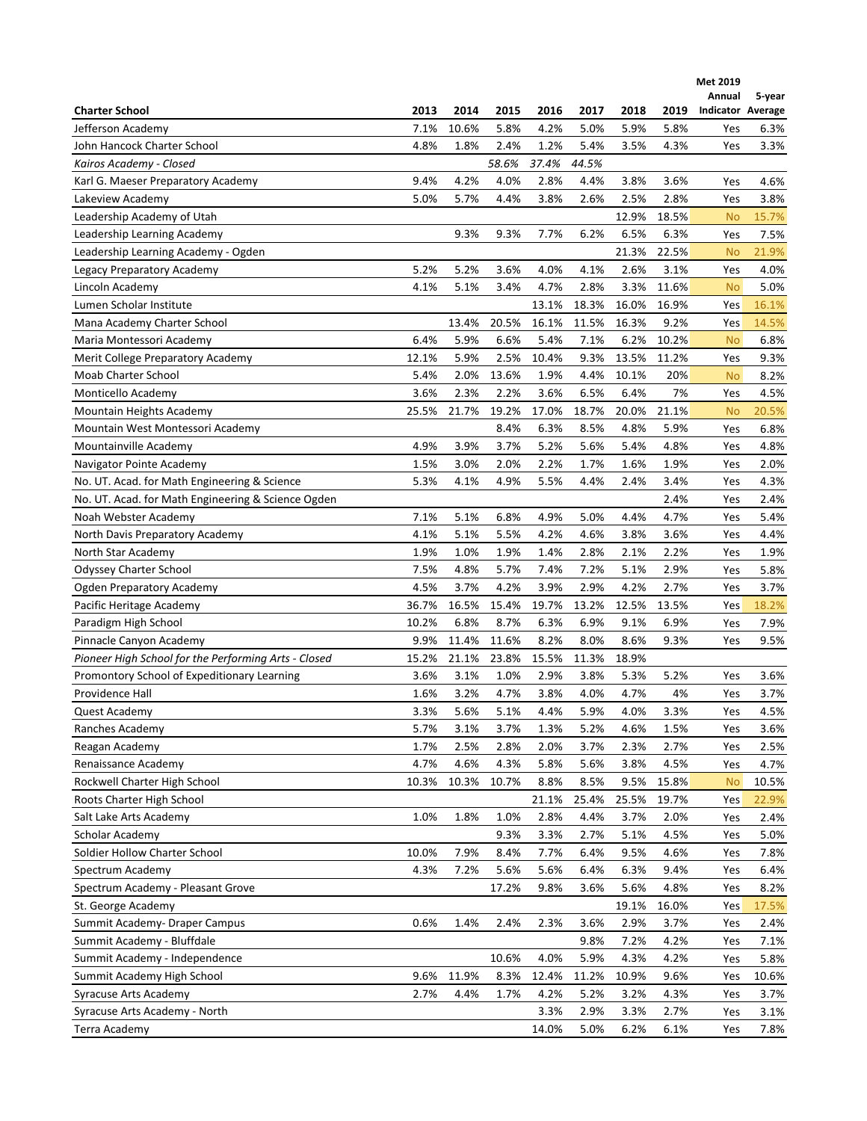|                                                      |       |       |       |       |              |       |              | Met 2019<br>Annual | 5-year |
|------------------------------------------------------|-------|-------|-------|-------|--------------|-------|--------------|--------------------|--------|
| <b>Charter School</b>                                | 2013  | 2014  | 2015  | 2016  | 2017         | 2018  | 2019         | Indicator Average  |        |
| Jefferson Academy                                    | 7.1%  | 10.6% | 5.8%  | 4.2%  | 5.0%         | 5.9%  | 5.8%         | Yes                | 6.3%   |
| John Hancock Charter School                          | 4.8%  | 1.8%  | 2.4%  | 1.2%  | 5.4%         | 3.5%  | 4.3%         | Yes                | 3.3%   |
| Kairos Academy - Closed                              |       |       | 58.6% | 37.4% | 44.5%        |       |              |                    |        |
| Karl G. Maeser Preparatory Academy                   | 9.4%  | 4.2%  | 4.0%  | 2.8%  | 4.4%         | 3.8%  | 3.6%         | Yes                | 4.6%   |
| Lakeview Academy                                     | 5.0%  | 5.7%  | 4.4%  | 3.8%  | 2.6%         | 2.5%  | 2.8%         | Yes                | 3.8%   |
| Leadership Academy of Utah                           |       |       |       |       |              | 12.9% | 18.5%        | <b>No</b>          | 15.7%  |
| Leadership Learning Academy                          |       | 9.3%  | 9.3%  | 7.7%  | 6.2%         | 6.5%  | 6.3%         | Yes                | 7.5%   |
| Leadership Learning Academy - Ogden                  |       |       |       |       |              | 21.3% | 22.5%        | <b>No</b>          | 21.9%  |
| Legacy Preparatory Academy                           | 5.2%  | 5.2%  | 3.6%  | 4.0%  | 4.1%         | 2.6%  | 3.1%         | Yes                | 4.0%   |
| Lincoln Academy                                      | 4.1%  | 5.1%  | 3.4%  | 4.7%  | 2.8%         | 3.3%  | 11.6%        | <b>No</b>          | 5.0%   |
| Lumen Scholar Institute                              |       |       |       | 13.1% | 18.3%        | 16.0% | 16.9%        | Yes                | 16.1%  |
| Mana Academy Charter School                          |       | 13.4% | 20.5% | 16.1% | 11.5%        | 16.3% | 9.2%         | Yes                | 14.5%  |
| Maria Montessori Academy                             | 6.4%  | 5.9%  | 6.6%  | 5.4%  | 7.1%         | 6.2%  | 10.2%        | <b>No</b>          | 6.8%   |
| Merit College Preparatory Academy                    | 12.1% | 5.9%  | 2.5%  | 10.4% | 9.3%         | 13.5% | 11.2%        | Yes                | 9.3%   |
| Moab Charter School                                  | 5.4%  | 2.0%  | 13.6% | 1.9%  | 4.4%         | 10.1% | 20%          | <b>No</b>          | 8.2%   |
| Monticello Academy                                   | 3.6%  | 2.3%  | 2.2%  | 3.6%  | 6.5%         | 6.4%  | 7%           | Yes                | 4.5%   |
| Mountain Heights Academy                             | 25.5% | 21.7% | 19.2% | 17.0% | 18.7%        | 20.0% | 21.1%        | <b>No</b>          | 20.5%  |
| Mountain West Montessori Academy                     |       |       | 8.4%  | 6.3%  | 8.5%         | 4.8%  | 5.9%         | Yes                | 6.8%   |
| Mountainville Academy                                | 4.9%  | 3.9%  | 3.7%  | 5.2%  | 5.6%         | 5.4%  | 4.8%         | Yes                | 4.8%   |
| Navigator Pointe Academy                             | 1.5%  | 3.0%  | 2.0%  | 2.2%  | 1.7%         | 1.6%  | 1.9%         | Yes                | 2.0%   |
| No. UT. Acad. for Math Engineering & Science         | 5.3%  | 4.1%  | 4.9%  | 5.5%  | 4.4%         | 2.4%  | 3.4%         | Yes                | 4.3%   |
| No. UT. Acad. for Math Engineering & Science Ogden   |       |       |       |       |              |       | 2.4%         | Yes                | 2.4%   |
| Noah Webster Academy                                 | 7.1%  | 5.1%  | 6.8%  | 4.9%  | 5.0%         | 4.4%  | 4.7%         | Yes                | 5.4%   |
| North Davis Preparatory Academy                      | 4.1%  | 5.1%  | 5.5%  | 4.2%  | 4.6%         | 3.8%  | 3.6%         | Yes                | 4.4%   |
| North Star Academy                                   | 1.9%  | 1.0%  | 1.9%  | 1.4%  | 2.8%         | 2.1%  | 2.2%         | Yes                | 1.9%   |
| <b>Odyssey Charter School</b>                        | 7.5%  | 4.8%  | 5.7%  | 7.4%  | 7.2%         | 5.1%  | 2.9%         | Yes                | 5.8%   |
| Ogden Preparatory Academy                            | 4.5%  | 3.7%  | 4.2%  | 3.9%  | 2.9%         | 4.2%  | 2.7%         | Yes                | 3.7%   |
| Pacific Heritage Academy                             | 36.7% | 16.5% | 15.4% | 19.7% | 13.2%        | 12.5% | 13.5%        | Yes                | 18.2%  |
| Paradigm High School                                 | 10.2% | 6.8%  | 8.7%  | 6.3%  | 6.9%         | 9.1%  | 6.9%         | Yes                | 7.9%   |
| Pinnacle Canyon Academy                              | 9.9%  | 11.4% | 11.6% | 8.2%  | 8.0%         | 8.6%  | 9.3%         | Yes                | 9.5%   |
| Pioneer High School for the Performing Arts - Closed | 15.2% | 21.1% | 23.8% | 15.5% | 11.3%        | 18.9% |              |                    |        |
| Promontory School of Expeditionary Learning          | 3.6%  | 3.1%  | 1.0%  | 2.9%  | 3.8%         | 5.3%  | 5.2%         | Yes                | 3.6%   |
| Providence Hall                                      | 1.6%  | 3.2%  | 4.7%  | 3.8%  | 4.0%         | 4.7%  | 4%           | Yes                | 3.7%   |
| Quest Academy                                        | 3.3%  | 5.6%  | 5.1%  | 4.4%  | 5.9%         | 4.0%  | 3.3%         | Yes                | 4.5%   |
| Ranches Academy                                      | 5.7%  | 3.1%  | 3.7%  | 1.3%  | 5.2%         | 4.6%  | 1.5%         | Yes                | 3.6%   |
| Reagan Academy                                       | 1.7%  | 2.5%  | 2.8%  | 2.0%  | 3.7%         | 2.3%  | 2.7%         | Yes                | 2.5%   |
| Renaissance Academy                                  | 4.7%  | 4.6%  | 4.3%  | 5.8%  | 5.6%         | 3.8%  | 4.5%         | Yes                | 4.7%   |
| Rockwell Charter High School                         | 10.3% | 10.3% | 10.7% | 8.8%  | 8.5%         | 9.5%  | 15.8%        | <b>No</b>          | 10.5%  |
| Roots Charter High School                            |       |       |       | 21.1% | 25.4%        | 25.5% | 19.7%        | Yes                | 22.9%  |
| Salt Lake Arts Academy                               | 1.0%  | 1.8%  | 1.0%  | 2.8%  | 4.4%         | 3.7%  | 2.0%         | Yes                | 2.4%   |
| Scholar Academy                                      |       |       | 9.3%  | 3.3%  | 2.7%         | 5.1%  | 4.5%         | Yes                | 5.0%   |
| Soldier Hollow Charter School                        | 10.0% | 7.9%  | 8.4%  | 7.7%  | 6.4%         | 9.5%  | 4.6%         | Yes                | 7.8%   |
| Spectrum Academy                                     | 4.3%  | 7.2%  | 5.6%  | 5.6%  | 6.4%         | 6.3%  | 9.4%         | Yes                | 6.4%   |
| Spectrum Academy - Pleasant Grove                    |       |       | 17.2% | 9.8%  | 3.6%         | 5.6%  | 4.8%         | Yes                | 8.2%   |
| St. George Academy                                   |       |       |       |       |              | 19.1% | 16.0%        |                    |        |
|                                                      |       |       |       |       |              |       |              | Yes                | 17.5%  |
| Summit Academy-Draper Campus                         | 0.6%  | 1.4%  | 2.4%  | 2.3%  | 3.6%         | 2.9%  | 3.7%         | Yes                | 2.4%   |
| Summit Academy - Bluffdale                           |       |       |       | 4.0%  | 9.8%<br>5.9% | 7.2%  | 4.2%<br>4.2% | Yes                | 7.1%   |
| Summit Academy - Independence                        |       |       | 10.6% |       |              | 4.3%  |              | Yes                | 5.8%   |
| Summit Academy High School                           | 9.6%  | 11.9% | 8.3%  | 12.4% | 11.2%        | 10.9% | 9.6%         | Yes                | 10.6%  |
| Syracuse Arts Academy                                | 2.7%  | 4.4%  | 1.7%  | 4.2%  | 5.2%         | 3.2%  | 4.3%         | Yes                | 3.7%   |
| Syracuse Arts Academy - North                        |       |       |       | 3.3%  | 2.9%         | 3.3%  | 2.7%         | Yes                | 3.1%   |
| Terra Academy                                        |       |       |       | 14.0% | 5.0%         | 6.2%  | 6.1%         | Yes                | 7.8%   |